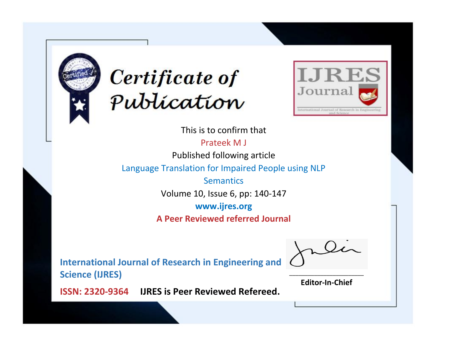



This is to confirm that

Prateek M J

Published following article

Language Translation for Impaired People using NLP

**Semantics** 

Volume 10, Issue 6, pp: 140-147

**www.ijres.org**

**A Peer Reviewed referred Journal**

**International Journal of Research in Engineering and Science (IJRES)**

\_\_\_\_\_\_\_\_\_\_\_\_\_\_\_\_\_\_\_\_\_\_\_\_ **Editor-In-Chief**

**Journal.**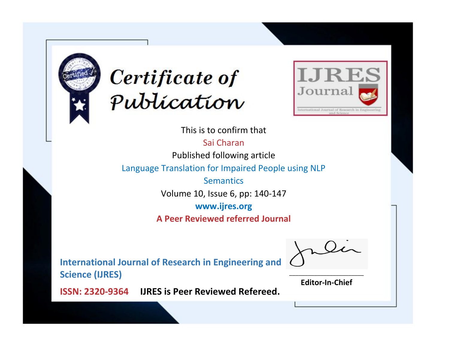



This is to confirm that

Sai Charan

Published following article

Language Translation for Impaired People using NLP

**Semantics** 

Volume 10, Issue 6, pp: 140-147

**www.ijres.org**

**A Peer Reviewed referred Journal**

**International Journal of Research in Engineering and Science (IJRES)**

\_\_\_\_\_\_\_\_\_\_\_\_\_\_\_\_\_\_\_\_\_\_\_\_ **Editor-In-Chief**

**Journal.**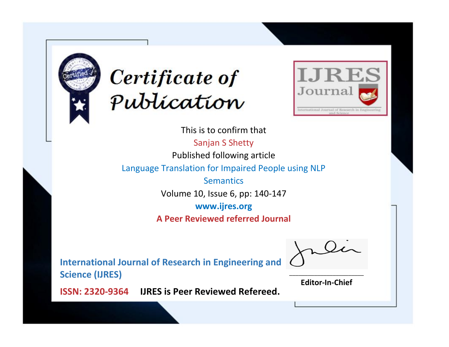



This is to confirm that Sanjan S Shetty Published following article Language Translation for Impaired People using NLP **Semantics** Volume 10, Issue 6, pp: 140-147 **www.ijres.org A Peer Reviewed referred Journal**

**International Journal of Research in Engineering and Science (IJRES)**

\_\_\_\_\_\_\_\_\_\_\_\_\_\_\_\_\_\_\_\_\_\_\_\_ **Editor-In-Chief**

**Journal.**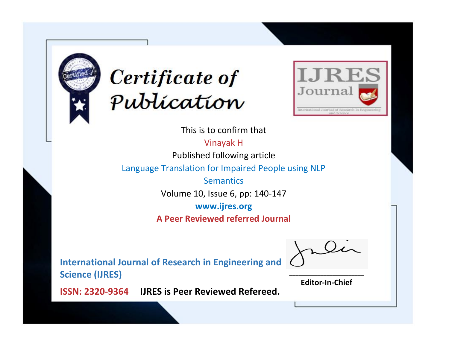



This is to confirm that

Vinayak H

Published following article

Language Translation for Impaired People using NLP

**Semantics** 

Volume 10, Issue 6, pp: 140-147

**www.ijres.org**

**A Peer Reviewed referred Journal**

**International Journal of Research in Engineering and Science (IJRES)**

\_\_\_\_\_\_\_\_\_\_\_\_\_\_\_\_\_\_\_\_\_\_\_\_ **Editor-In-Chief**

**Journal.**